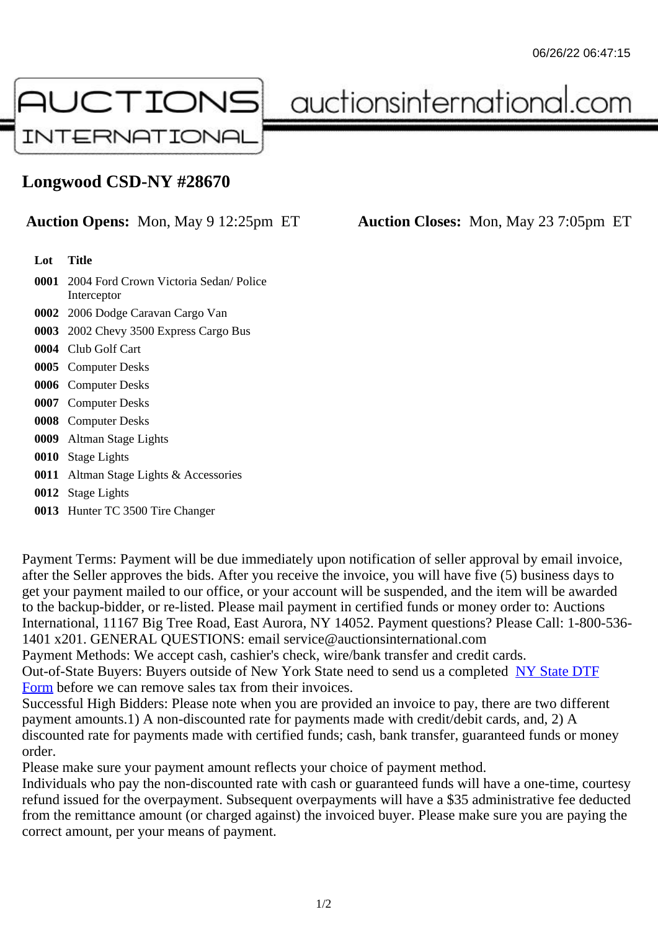## Longwood CSD-NY #28670

## Auction Opens: Mon, May 9 12:25pm ET Auction Closes: Mon, May 23 7:05pm ET

Lot Title

- 0001 2004 Ford Crown Victoria Sedan/ Police Interceptor
- 0002 2006 Dodge Caravan Cargo Van
- 0003 2002 Chevy 3500 Express Cargo Bus
- 0004 Club Golf Cart
- 0005 Computer Desks
- 0006 Computer Desks
- 0007 Computer Desks
- 0008 Computer Desks
- 0009 Altman Stage Lights
- 0010 Stage Lights
- 0011 Altman Stage Lights & Accessories
- 0012 Stage Lights
- 0013 Hunter TC 3500 Tire Changer

Payment Terms: Payment will be due immediately upon notification of seller approval by email invoice, after the Seller approves the bids. After you receive the invoice, you will have five (5) business days to get your payment mailed to our office, or your account will be suspended, and the item will be awarded to the backup-bidder, or re-listed. Please mail payment in certified funds or money order to: Auctions International, 11167 Big Tree Road, East Aurora, NY 14052. Payment questions? Please Call: 1-800-53 1401 x201. GENERAL QUESTIONS: email service@auctionsinternational.com

Payment Methods: We accept cash, cashier's check, wire/bank transfer and credit cards.

Out-of-State Buyers: Buyers outside of New York State need to send us a com blestate DTF

Form before we can remove sales tax from their invoices.

Successful High Bidders: Please note when you are provided an invoice to pay, there are two different payment amounts.1) A non-discounted rate for payments made with credit/de[bit cards, and](https://www.auctionsinternational.com/auxiliary/downloads/DTF_Form/dtf_fill_in.pdf), 2) A [disco](https://www.auctionsinternational.com/auxiliary/downloads/DTF_Form/dtf_fill_in.pdf)unted rate for payments made with certified funds; cash, bank transfer, quaranteed funds or mone order.

Please make sure your payment amount reflects your choice of payment method.

Individuals who pay the non-discounted rate with cash or guaranteed funds will have a one-time, courte refund issued for the overpayment. Subsequent overpayments will have a \$35 administrative fee deduc from the remittance amount (or charged against) the invoiced buyer. Please make sure you are paying correct amount, per your means of payment.